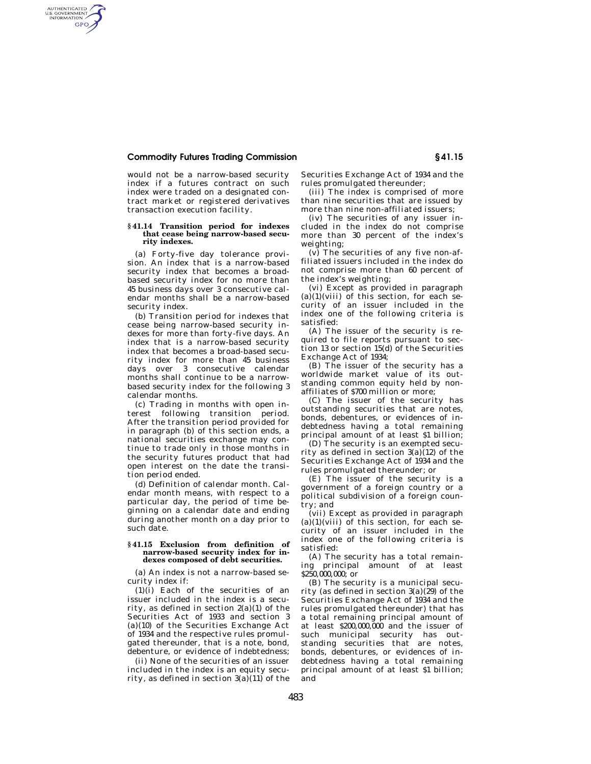## **Commodity Futures Trading Commission § 41.15**

AUTHENTICATED<br>U.S. GOVERNMENT<br>INFORMATION GPO

> would not be a narrow-based security index if a futures contract on such index were traded on a designated contract market or registered derivatives transaction execution facility.

### **§ 41.14 Transition period for indexes that cease being narrow-based security indexes.**

(a) Forty-five day tolerance provision. An index that is a narrow-based security index that becomes a broadbased security index for no more than 45 business days over 3 consecutive calendar months shall be a narrow-based security index.

(b) Transition period for indexes that cease being narrow-based security indexes for more than forty-five days. An index that is a narrow-based security index that becomes a broad-based security index for more than 45 business days over 3 consecutive calendar months shall continue to be a narrowbased security index for the following 3 calendar months.

(c) Trading in months with open interest following transition period. After the transition period provided for in paragraph (b) of this section ends, a national securities exchange may continue to trade only in those months in the security futures product that had open interest on the date the transition period ended.

(d) Definition of calendar month. Calendar month means, with respect to a particular day, the period of time beginning on a calendar date and ending during another month on a day prior to such date.

#### **§ 41.15 Exclusion from definition of narrow-based security index for indexes composed of debt securities.**

(a) An index is not a narrow-based security index if:

(1)(i) Each of the securities of an issuer included in the index is a security, as defined in section 2(a)(1) of the Securities Act of 1933 and section 3 (a)(10) of the Securities Exchange Act of 1934 and the respective rules promulgated thereunder, that is a note, bond, debenture, or evidence of indebtedness;

(ii) None of the securities of an issuer included in the index is an equity security, as defined in section  $3(a)(11)$  of the Securities Exchange Act of 1934 and the rules promulgated thereunder;

(iii) The index is comprised of more than nine securities that are issued by more than nine non-affiliated issuers;

(iv) The securities of any issuer included in the index do not comprise more than 30 percent of the index's weighting;

(v) The securities of any five non-affiliated issuers included in the index do not comprise more than 60 percent of the index's weighting;

(vi) Except as provided in paragraph  $(a)(1)(viii)$  of this section, for each security of an issuer included in the index one of the following criteria is satisfied:

(A) The issuer of the security is required to file reports pursuant to section 13 or section 15(d) of the Securities Exchange Act of 1934;

(B) The issuer of the security has a worldwide market value of its outstanding common equity held by nonaffiliates of \$700 million or more;

(C) The issuer of the security has outstanding securities that are notes, bonds, debentures, or evidences of indebtedness having a total remaining principal amount of at least \$1 billion;

(D) The security is an exempted security as defined in section  $3(a)(12)$  of the Securities Exchange Act of 1934 and the rules promulgated thereunder; or

(E) The issuer of the security is a government of a foreign country or a political subdivision of a foreign country; and

(vii) Except as provided in paragraph  $(a)(1)(viii)$  of this section, for each security of an issuer included in the index one of the following criteria is satisfied:

(A) The security has a total remaining principal amount of at least \$250,000,000; or

(B) The security is a municipal security (as defined in section  $3(a)(29)$  of the Securities Exchange Act of 1934 and the rules promulgated thereunder) that has a total remaining principal amount of at least \$200,000,000 and the issuer of such municipal security has outstanding securities that are notes, bonds, debentures, or evidences of indebtedness having a total remaining principal amount of at least \$1 billion; and